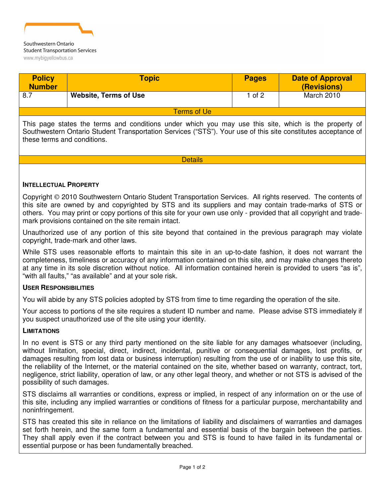

| <b>Policy</b><br><b>Number</b> | <b>Topic</b>                 | <b>Pages</b> | <b>Date of Approval</b><br>(Revisions) |
|--------------------------------|------------------------------|--------------|----------------------------------------|
| 8.7                            | <b>Website, Terms of Use</b> | 1 of 2       | March 2010                             |
| <b>Terms of Ue</b>             |                              |              |                                        |

This page states the terms and conditions under which you may use this site, which is the property of Southwestern Ontario Student Transportation Services ("STS"). Your use of this site constitutes acceptance of these terms and conditions.

**Details** 

## **INTELLECTUAL PROPERTY**

Copyright 2010 Southwestern Ontario Student Transportation Services. All rights reserved. The contents of this site are owned by and copyrighted by STS and its suppliers and may contain trade-marks of STS or others. You may print or copy portions of this site for your own use only - provided that all copyright and trademark provisions contained on the site remain intact.

Unauthorized use of any portion of this site beyond that contained in the previous paragraph may violate copyright, trade-mark and other laws.

While STS uses reasonable efforts to maintain this site in an up-to-date fashion, it does not warrant the completeness, timeliness or accuracy of any information contained on this site, and may make changes thereto at any time in its sole discretion without notice. All information contained herein is provided to users "as is", "with all faults," "as available" and at your sole risk.

## **USER RESPONSIBILITIES**

You will abide by any STS policies adopted by STS from time to time regarding the operation of the site.

Your access to portions of the site requires a student ID number and name. Please advise STS immediately if you suspect unauthorized use of the site using your identity.

## **LIMITATIONS**

In no event is STS or any third party mentioned on the site liable for any damages whatsoever (including, without limitation, special, direct, indirect, incidental, punitive or consequential damages, lost profits, or damages resulting from lost data or business interruption) resulting from the use of or inability to use this site, the reliability of the Internet, or the material contained on the site, whether based on warranty, contract, tort, negligence, strict liability, operation of law, or any other legal theory, and whether or not STS is advised of the possibility of such damages.

STS disclaims all warranties or conditions, express or implied, in respect of any information on or the use of this site, including any implied warranties or conditions of fitness for a particular purpose, merchantability and noninfringement.

STS has created this site in reliance on the limitations of liability and disclaimers of warranties and damages set forth herein, and the same form a fundamental and essential basis of the bargain between the parties. They shall apply even if the contract between you and STS is found to have failed in its fundamental or essential purpose or has been fundamentally breached.